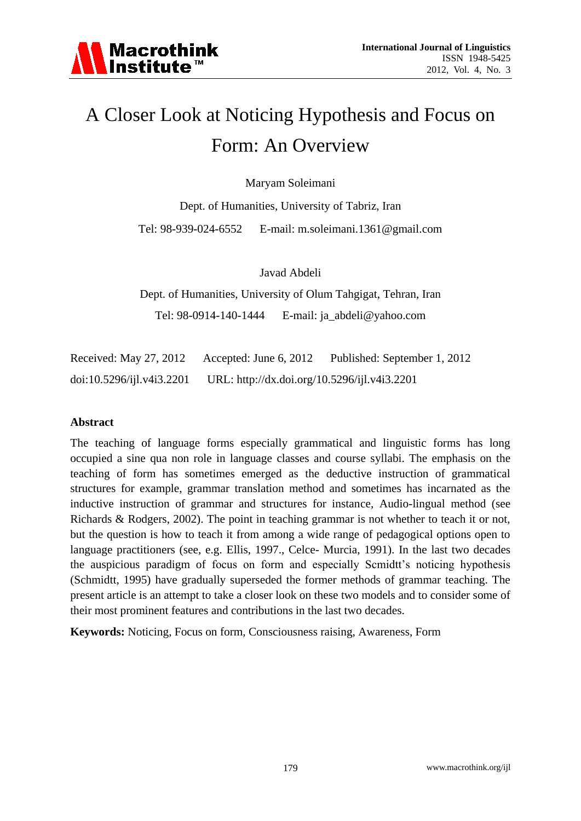# A Closer Look at Noticing Hypothesis and Focus on Form: An Overview

Maryam Soleimani

Dept. of Humanities, University of Tabriz, Iran Tel: 98-939-024-6552 E-mail: m.soleimani.1361@gmail.com

Javad Abdeli

Dept. of Humanities, University of Olum Tahgigat, Tehran, Iran Tel: 98-0914-140-1444 E-mail: ja\_abdeli@yahoo.com

Received: May 27, 2012 Accepted: June 6, 2012 Published: September 1, 2012 doi:10.5296/ijl.v4i3.2201 URL: http://dx.doi.org/10.5296/ijl.v4i3.2201

#### **Abstract**

The teaching of language forms especially grammatical and linguistic forms has long occupied a sine qua non role in language classes and course syllabi. The emphasis on the teaching of form has sometimes emerged as the deductive instruction of grammatical structures for example, grammar translation method and sometimes has incarnated as the inductive instruction of grammar and structures for instance, Audio-lingual method (see Richards & Rodgers, 2002). The point in teaching grammar is not whether to teach it or not, but the question is how to teach it from among a wide range of pedagogical options open to language practitioners (see, e.g. Ellis, 1997., Celce- Murcia, 1991). In the last two decades the auspicious paradigm of focus on form and especially Scmidtt's noticing hypothesis (Schmidtt, 1995) have gradually superseded the former methods of grammar teaching. The present article is an attempt to take a closer look on these two models and to consider some of their most prominent features and contributions in the last two decades.

**Keywords:** Noticing, Focus on form, Consciousness raising, Awareness, Form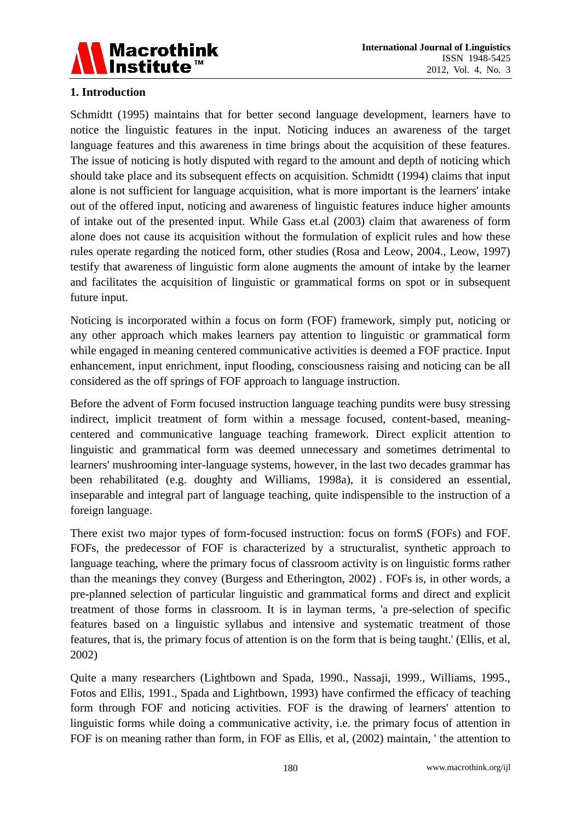

## **1. Introduction**

Schmidtt (1995) maintains that for better second language development, learners have to notice the linguistic features in the input. Noticing induces an awareness of the target language features and this awareness in time brings about the acquisition of these features. The issue of noticing is hotly disputed with regard to the amount and depth of noticing which should take place and its subsequent effects on acquisition. Schmidtt (1994) claims that input alone is not sufficient for language acquisition, what is more important is the learners' intake out of the offered input, noticing and awareness of linguistic features induce higher amounts of intake out of the presented input. While Gass et.al (2003) claim that awareness of form alone does not cause its acquisition without the formulation of explicit rules and how these rules operate regarding the noticed form, other studies (Rosa and Leow, 2004., Leow, 1997) testify that awareness of linguistic form alone augments the amount of intake by the learner and facilitates the acquisition of linguistic or grammatical forms on spot or in subsequent future input.

Noticing is incorporated within a focus on form (FOF) framework, simply put, noticing or any other approach which makes learners pay attention to linguistic or grammatical form while engaged in meaning centered communicative activities is deemed a FOF practice. Input enhancement, input enrichment, input flooding, consciousness raising and noticing can be all considered as the off springs of FOF approach to language instruction.

Before the advent of Form focused instruction language teaching pundits were busy stressing indirect, implicit treatment of form within a message focused, content-based, meaningcentered and communicative language teaching framework. Direct explicit attention to linguistic and grammatical form was deemed unnecessary and sometimes detrimental to learners' mushrooming inter-language systems, however, in the last two decades grammar has been rehabilitated (e.g. doughty and Williams, 1998a), it is considered an essential, inseparable and integral part of language teaching, quite indispensible to the instruction of a foreign language.

There exist two major types of form-focused instruction: focus on formS (FOFs) and FOF. FOFs, the predecessor of FOF is characterized by a structuralist, synthetic approach to language teaching, where the primary focus of classroom activity is on linguistic forms rather than the meanings they convey (Burgess and Etherington, 2002) . FOFs is, in other words, a pre-planned selection of particular linguistic and grammatical forms and direct and explicit treatment of those forms in classroom. It is in layman terms, 'a pre-selection of specific features based on a linguistic syllabus and intensive and systematic treatment of those features, that is, the primary focus of attention is on the form that is being taught.' (Ellis, et al, 2002)

Quite a many researchers (Lightbown and Spada, 1990., Nassaji, 1999., Williams, 1995., Fotos and Ellis, 1991., Spada and Lightbown, 1993) have confirmed the efficacy of teaching form through FOF and noticing activities. FOF is the drawing of learners' attention to linguistic forms while doing a communicative activity, i.e. the primary focus of attention in FOF is on meaning rather than form, in FOF as Ellis, et al, (2002) maintain, ' the attention to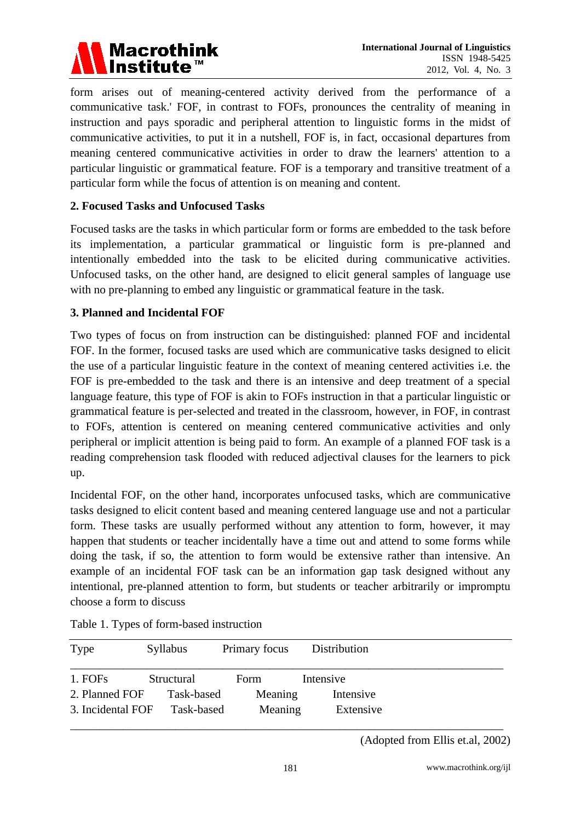

form arises out of meaning-centered activity derived from the performance of a communicative task.' FOF, in contrast to FOFs, pronounces the centrality of meaning in instruction and pays sporadic and peripheral attention to linguistic forms in the midst of communicative activities, to put it in a nutshell, FOF is, in fact, occasional departures from meaning centered communicative activities in order to draw the learners' attention to a particular linguistic or grammatical feature. FOF is a temporary and transitive treatment of a particular form while the focus of attention is on meaning and content.

#### **2. Focused Tasks and Unfocused Tasks**

Focused tasks are the tasks in which particular form or forms are embedded to the task before its implementation, a particular grammatical or linguistic form is pre-planned and intentionally embedded into the task to be elicited during communicative activities. Unfocused tasks, on the other hand, are designed to elicit general samples of language use with no pre-planning to embed any linguistic or grammatical feature in the task.

#### **3. Planned and Incidental FOF**

Two types of focus on from instruction can be distinguished: planned FOF and incidental FOF. In the former, focused tasks are used which are communicative tasks designed to elicit the use of a particular linguistic feature in the context of meaning centered activities i.e. the FOF is pre-embedded to the task and there is an intensive and deep treatment of a special language feature, this type of FOF is akin to FOFs instruction in that a particular linguistic or grammatical feature is per-selected and treated in the classroom, however, in FOF, in contrast to FOFs, attention is centered on meaning centered communicative activities and only peripheral or implicit attention is being paid to form. An example of a planned FOF task is a reading comprehension task flooded with reduced adjectival clauses for the learners to pick up.

Incidental FOF, on the other hand, incorporates unfocused tasks, which are communicative tasks designed to elicit content based and meaning centered language use and not a particular form. These tasks are usually performed without any attention to form, however, it may happen that students or teacher incidentally have a time out and attend to some forms while doing the task, if so, the attention to form would be extensive rather than intensive. An example of an incidental FOF task can be an information gap task designed without any intentional, pre-planned attention to form, but students or teacher arbitrarily or impromptu choose a form to discuss

| Type              | <b>Syllabus</b> | Primary focus | Distribution |  |
|-------------------|-----------------|---------------|--------------|--|
| 1. FOFs           | Structural      | <b>Form</b>   | Intensive    |  |
| 2. Planned FOF    | Task-based      | Meaning       | Intensive    |  |
| 3. Incidental FOF | Task-based      | Meaning       | Extensive    |  |
|                   |                 |               |              |  |

Table 1. Types of form-based instruction

 <sup>(</sup>Adopted from Ellis et.al, 2002)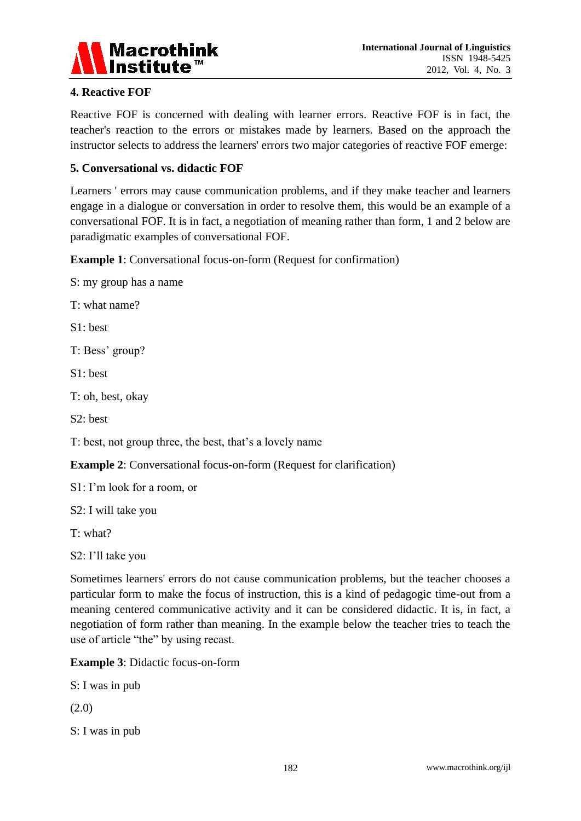

### **4. Reactive FOF**

Reactive FOF is concerned with dealing with learner errors. Reactive FOF is in fact, the teacher's reaction to the errors or mistakes made by learners. Based on the approach the instructor selects to address the learners' errors two major categories of reactive FOF emerge:

### **5. Conversational vs. didactic FOF**

Learners ' errors may cause communication problems, and if they make teacher and learners engage in a dialogue or conversation in order to resolve them, this would be an example of a conversational FOF. It is in fact, a negotiation of meaning rather than form, 1 and 2 below are paradigmatic examples of conversational FOF.

**Example 1**: Conversational focus-on-form (Request for confirmation)

S: my group has a name

T: what name?

S1: best

T: Bess' group?

S1: best

T: oh, best, okay

S2: best

T: best, not group three, the best, that's a lovely name

**Example 2:** Conversational focus-on-form (Request for clarification)

S1: I'm look for a room, or

S2: I will take you

T: what?

S2: I'll take you

Sometimes learners' errors do not cause communication problems, but the teacher chooses a particular form to make the focus of instruction, this is a kind of pedagogic time-out from a meaning centered communicative activity and it can be considered didactic. It is, in fact, a negotiation of form rather than meaning. In the example below the teacher tries to teach the use of article "the" by using recast.

**Example 3**: Didactic focus-on-form

S: I was in pub

(2.0)

S: I was in pub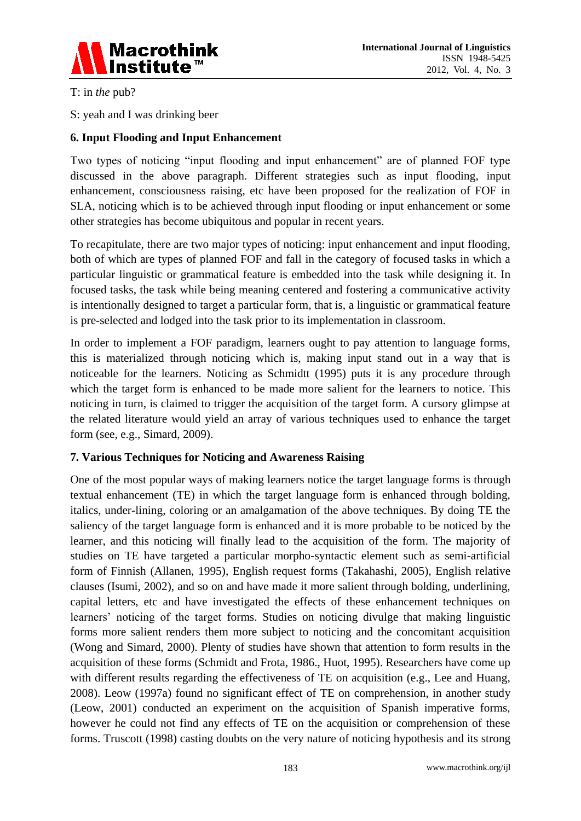

T: in *the* pub?

S: yeah and I was drinking beer

### **6. Input Flooding and Input Enhancement**

Two types of noticing "input flooding and input enhancement" are of planned FOF type discussed in the above paragraph. Different strategies such as input flooding, input enhancement, consciousness raising, etc have been proposed for the realization of FOF in SLA, noticing which is to be achieved through input flooding or input enhancement or some other strategies has become ubiquitous and popular in recent years.

To recapitulate, there are two major types of noticing: input enhancement and input flooding, both of which are types of planned FOF and fall in the category of focused tasks in which a particular linguistic or grammatical feature is embedded into the task while designing it. In focused tasks, the task while being meaning centered and fostering a communicative activity is intentionally designed to target a particular form, that is, a linguistic or grammatical feature is pre-selected and lodged into the task prior to its implementation in classroom.

In order to implement a FOF paradigm, learners ought to pay attention to language forms, this is materialized through noticing which is, making input stand out in a way that is noticeable for the learners. Noticing as Schmidtt (1995) puts it is any procedure through which the target form is enhanced to be made more salient for the learners to notice. This noticing in turn, is claimed to trigger the acquisition of the target form. A cursory glimpse at the related literature would yield an array of various techniques used to enhance the target form (see, e.g., Simard, 2009).

#### **7. Various Techniques for Noticing and Awareness Raising**

One of the most popular ways of making learners notice the target language forms is through textual enhancement (TE) in which the target language form is enhanced through bolding, italics, under-lining, coloring or an amalgamation of the above techniques. By doing TE the saliency of the target language form is enhanced and it is more probable to be noticed by the learner, and this noticing will finally lead to the acquisition of the form. The majority of studies on TE have targeted a particular morpho-syntactic element such as semi-artificial form of Finnish (Allanen, 1995), English request forms (Takahashi, 2005), English relative clauses (Isumi, 2002), and so on and have made it more salient through bolding, underlining, capital letters, etc and have investigated the effects of these enhancement techniques on learners' noticing of the target forms. Studies on noticing divulge that making linguistic forms more salient renders them more subject to noticing and the concomitant acquisition (Wong and Simard, 2000). Plenty of studies have shown that attention to form results in the acquisition of these forms (Schmidt and Frota, 1986., Huot, 1995). Researchers have come up with different results regarding the effectiveness of TE on acquisition (e.g., Lee and Huang, 2008). Leow (1997a) found no significant effect of TE on comprehension, in another study (Leow, 2001) conducted an experiment on the acquisition of Spanish imperative forms, however he could not find any effects of TE on the acquisition or comprehension of these forms. Truscott (1998) casting doubts on the very nature of noticing hypothesis and its strong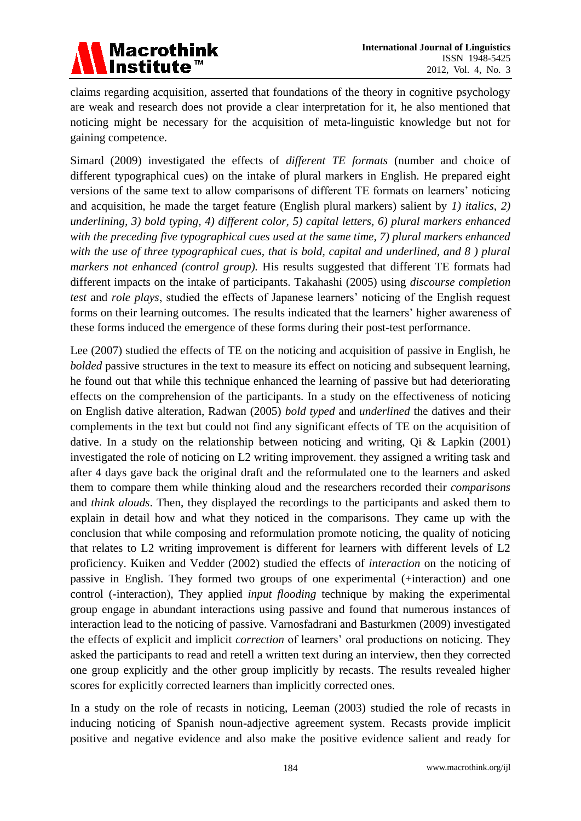

claims regarding acquisition, asserted that foundations of the theory in cognitive psychology are weak and research does not provide a clear interpretation for it, he also mentioned that noticing might be necessary for the acquisition of meta-linguistic knowledge but not for gaining competence.

Simard (2009) investigated the effects of *different TE formats* (number and choice of different typographical cues) on the intake of plural markers in English. He prepared eight versions of the same text to allow comparisons of different TE formats on learners' noticing and acquisition, he made the target feature (English plural markers) salient by *1) italics, 2) underlining, 3) bold typing, 4) different color, 5) capital letters, 6) plural markers enhanced with the preceding five typographical cues used at the same time, 7) plural markers enhanced with the use of three typographical cues, that is bold, capital and underlined, and 8 ) plural markers not enhanced (control group).* His results suggested that different TE formats had different impacts on the intake of participants. Takahashi (2005) using *discourse completion test* and *role plays*, studied the effects of Japanese learners' noticing of the English request forms on their learning outcomes. The results indicated that the learners' higher awareness of these forms induced the emergence of these forms during their post-test performance.

Lee (2007) studied the effects of TE on the noticing and acquisition of passive in English, he *bolded* passive structures in the text to measure its effect on noticing and subsequent learning, he found out that while this technique enhanced the learning of passive but had deteriorating effects on the comprehension of the participants. In a study on the effectiveness of noticing on English dative alteration, Radwan (2005) *bold typed* and *underlined* the datives and their complements in the text but could not find any significant effects of TE on the acquisition of dative. In a study on the relationship between noticing and writing, Qi & Lapkin (2001) investigated the role of noticing on L2 writing improvement. they assigned a writing task and after 4 days gave back the original draft and the reformulated one to the learners and asked them to compare them while thinking aloud and the researchers recorded their *comparisons* and *think alouds*. Then, they displayed the recordings to the participants and asked them to explain in detail how and what they noticed in the comparisons. They came up with the conclusion that while composing and reformulation promote noticing, the quality of noticing that relates to L2 writing improvement is different for learners with different levels of L2 proficiency. Kuiken and Vedder (2002) studied the effects of *interaction* on the noticing of passive in English. They formed two groups of one experimental (+interaction) and one control (-interaction), They applied *input flooding* technique by making the experimental group engage in abundant interactions using passive and found that numerous instances of interaction lead to the noticing of passive. Varnosfadrani and Basturkmen (2009) investigated the effects of explicit and implicit *correction* of learners' oral productions on noticing. They asked the participants to read and retell a written text during an interview, then they corrected one group explicitly and the other group implicitly by recasts. The results revealed higher scores for explicitly corrected learners than implicitly corrected ones.

In a study on the role of recasts in noticing, Leeman (2003) studied the role of recasts in inducing noticing of Spanish noun-adjective agreement system. Recasts provide implicit positive and negative evidence and also make the positive evidence salient and ready for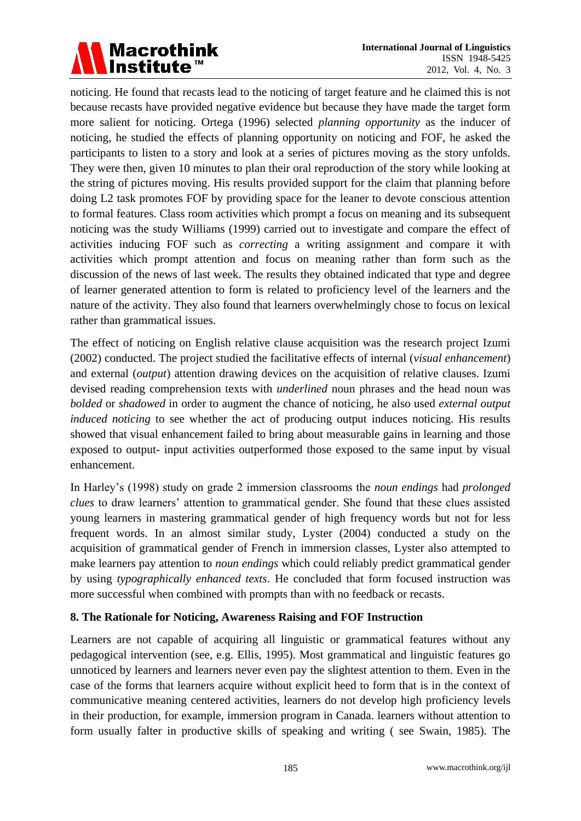# Macrothink<br>|Institute™

noticing. He found that recasts lead to the noticing of target feature and he claimed this is not because recasts have provided negative evidence but because they have made the target form more salient for noticing. Ortega (1996) selected *planning opportunity* as the inducer of noticing, he studied the effects of planning opportunity on noticing and FOF, he asked the participants to listen to a story and look at a series of pictures moving as the story unfolds. They were then, given 10 minutes to plan their oral reproduction of the story while looking at the string of pictures moving. His results provided support for the claim that planning before doing L2 task promotes FOF by providing space for the leaner to devote conscious attention to formal features. Class room activities which prompt a focus on meaning and its subsequent noticing was the study Williams (1999) carried out to investigate and compare the effect of activities inducing FOF such as *correcting* a writing assignment and compare it with activities which prompt attention and focus on meaning rather than form such as the discussion of the news of last week. The results they obtained indicated that type and degree of learner generated attention to form is related to proficiency level of the learners and the nature of the activity. They also found that learners overwhelmingly chose to focus on lexical rather than grammatical issues.

The effect of noticing on English relative clause acquisition was the research project Izumi (2002) conducted. The project studied the facilitative effects of internal (*visual enhancement*) and external (*output*) attention drawing devices on the acquisition of relative clauses. Izumi devised reading comprehension texts with *underlined* noun phrases and the head noun was *bolded* or *shadowed* in order to augment the chance of noticing, he also used *external output induced noticing* to see whether the act of producing output induces noticing. His results showed that visual enhancement failed to bring about measurable gains in learning and those exposed to output- input activities outperformed those exposed to the same input by visual enhancement.

In Harley's (1998) study on grade 2 immersion classrooms the *noun endings* had *prolonged clues* to draw learners' attention to grammatical gender. She found that these clues assisted young learners in mastering grammatical gender of high frequency words but not for less frequent words. In an almost similar study, Lyster (2004) conducted a study on the acquisition of grammatical gender of French in immersion classes, Lyster also attempted to make learners pay attention to *noun endings* which could reliably predict grammatical gender by using *typographically enhanced texts*. He concluded that form focused instruction was more successful when combined with prompts than with no feedback or recasts.

#### **8. The Rationale for Noticing, Awareness Raising and FOF Instruction**

Learners are not capable of acquiring all linguistic or grammatical features without any pedagogical intervention (see, e.g. Ellis, 1995). Most grammatical and linguistic features go unnoticed by learners and learners never even pay the slightest attention to them. Even in the case of the forms that learners acquire without explicit heed to form that is in the context of communicative meaning centered activities, learners do not develop high proficiency levels in their production, for example, immersion program in Canada. learners without attention to form usually falter in productive skills of speaking and writing ( see Swain, 1985). The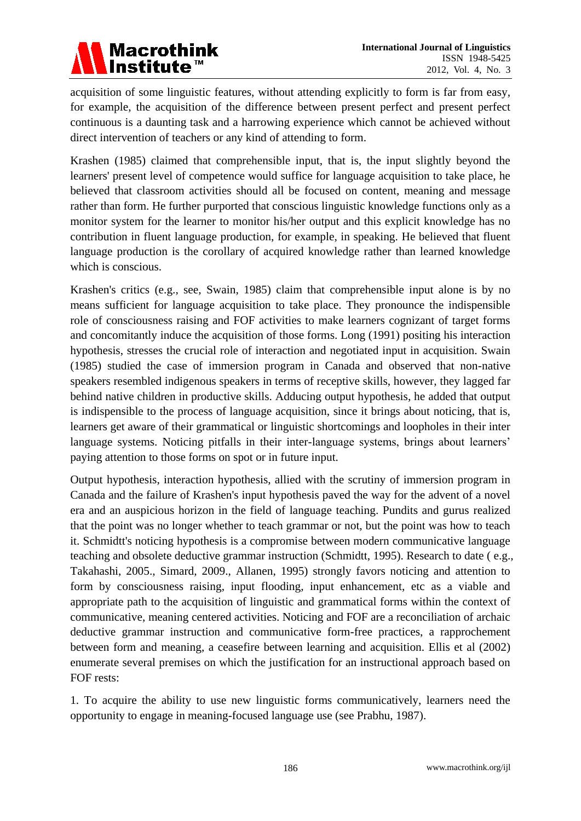

acquisition of some linguistic features, without attending explicitly to form is far from easy, for example, the acquisition of the difference between present perfect and present perfect continuous is a daunting task and a harrowing experience which cannot be achieved without direct intervention of teachers or any kind of attending to form.

Krashen (1985) claimed that comprehensible input, that is, the input slightly beyond the learners' present level of competence would suffice for language acquisition to take place, he believed that classroom activities should all be focused on content, meaning and message rather than form. He further purported that conscious linguistic knowledge functions only as a monitor system for the learner to monitor his/her output and this explicit knowledge has no contribution in fluent language production, for example, in speaking. He believed that fluent language production is the corollary of acquired knowledge rather than learned knowledge which is conscious.

Krashen's critics (e.g., see, Swain, 1985) claim that comprehensible input alone is by no means sufficient for language acquisition to take place. They pronounce the indispensible role of consciousness raising and FOF activities to make learners cognizant of target forms and concomitantly induce the acquisition of those forms. Long (1991) positing his interaction hypothesis, stresses the crucial role of interaction and negotiated input in acquisition. Swain (1985) studied the case of immersion program in Canada and observed that non-native speakers resembled indigenous speakers in terms of receptive skills, however, they lagged far behind native children in productive skills. Adducing output hypothesis, he added that output is indispensible to the process of language acquisition, since it brings about noticing, that is, learners get aware of their grammatical or linguistic shortcomings and loopholes in their inter language systems. Noticing pitfalls in their inter-language systems, brings about learners' paying attention to those forms on spot or in future input.

Output hypothesis, interaction hypothesis, allied with the scrutiny of immersion program in Canada and the failure of Krashen's input hypothesis paved the way for the advent of a novel era and an auspicious horizon in the field of language teaching. Pundits and gurus realized that the point was no longer whether to teach grammar or not, but the point was how to teach it. Schmidtt's noticing hypothesis is a compromise between modern communicative language teaching and obsolete deductive grammar instruction (Schmidtt, 1995). Research to date ( e.g., Takahashi, 2005., Simard, 2009., Allanen, 1995) strongly favors noticing and attention to form by consciousness raising, input flooding, input enhancement, etc as a viable and appropriate path to the acquisition of linguistic and grammatical forms within the context of communicative, meaning centered activities. Noticing and FOF are a reconciliation of archaic deductive grammar instruction and communicative form-free practices, a rapprochement between form and meaning, a ceasefire between learning and acquisition. Ellis et al (2002) enumerate several premises on which the justification for an instructional approach based on FOF rests:

1. To acquire the ability to use new linguistic forms communicatively, learners need the opportunity to engage in meaning-focused language use (see Prabhu, 1987).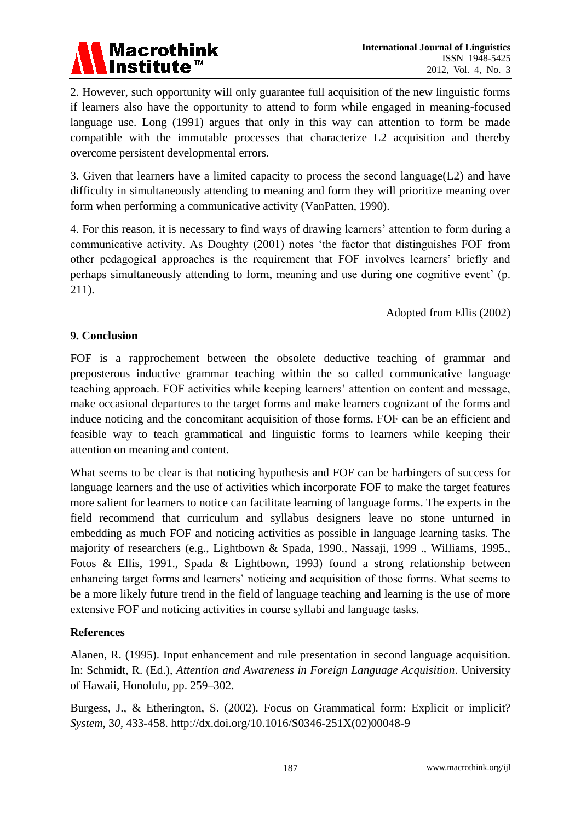

2. However, such opportunity will only guarantee full acquisition of the new linguistic forms if learners also have the opportunity to attend to form while engaged in meaning-focused language use. Long (1991) argues that only in this way can attention to form be made compatible with the immutable processes that characterize L2 acquisition and thereby overcome persistent developmental errors.

3. Given that learners have a limited capacity to process the second language(L2) and have difficulty in simultaneously attending to meaning and form they will prioritize meaning over form when performing a communicative activity (VanPatten, 1990).

4. For this reason, it is necessary to find ways of drawing learners' attention to form during a communicative activity. As Doughty (2001) notes 'the factor that distinguishes FOF from other pedagogical approaches is the requirement that FOF involves learners' briefly and perhaps simultaneously attending to form, meaning and use during one cognitive event' (p. 211).

Adopted from Ellis (2002)

#### **9. Conclusion**

FOF is a rapprochement between the obsolete deductive teaching of grammar and preposterous inductive grammar teaching within the so called communicative language teaching approach. FOF activities while keeping learners' attention on content and message, make occasional departures to the target forms and make learners cognizant of the forms and induce noticing and the concomitant acquisition of those forms. FOF can be an efficient and feasible way to teach grammatical and linguistic forms to learners while keeping their attention on meaning and content.

What seems to be clear is that noticing hypothesis and FOF can be harbingers of success for language learners and the use of activities which incorporate FOF to make the target features more salient for learners to notice can facilitate learning of language forms. The experts in the field recommend that curriculum and syllabus designers leave no stone unturned in embedding as much FOF and noticing activities as possible in language learning tasks. The majority of researchers (e.g., Lightbown & Spada, 1990., Nassaji, 1999 ., Williams, 1995., Fotos & Ellis, 1991., Spada & Lightbown, 1993) found a strong relationship between enhancing target forms and learners' noticing and acquisition of those forms. What seems to be a more likely future trend in the field of language teaching and learning is the use of more extensive FOF and noticing activities in course syllabi and language tasks.

#### **References**

Alanen, R. (1995). Input enhancement and rule presentation in second language acquisition. In: Schmidt, R. (Ed.), *Attention and Awareness in Foreign Language Acquisition*. University of Hawaii, Honolulu, pp. 259–302.

Burgess, J., & Etherington, S. (2002). Focus on Grammatical form: Explicit or implicit? *System*, 3*0,* 433-458. http://dx.doi.org/10.1016/S0346-251X(02)00048-9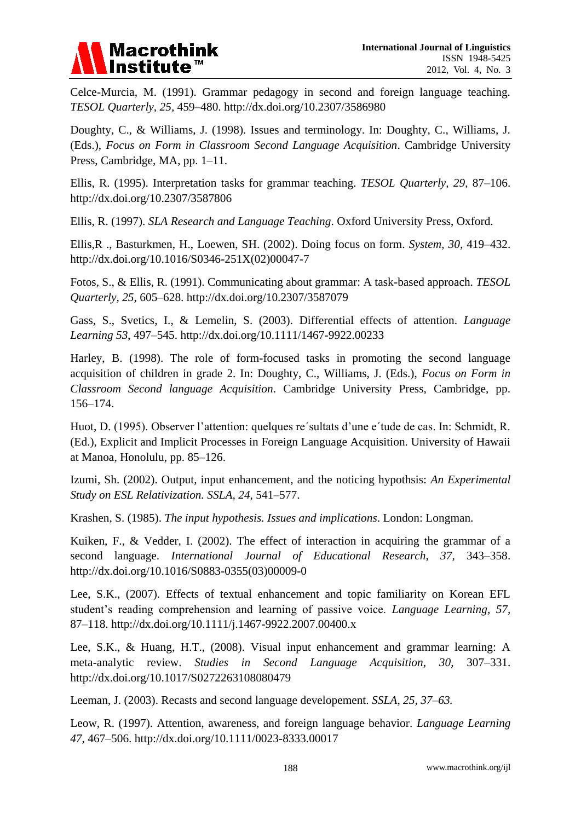# **Macrothink**

Celce-Murcia, M. (1991). Grammar pedagogy in second and foreign language teaching*. TESOL Quarterly, 25,* 459–480. http://dx.doi.org/10.2307/3586980

Doughty, C., & Williams, J. (1998). Issues and terminology. In: Doughty, C., Williams, J. (Eds.), *Focus on Form in Classroom Second Language Acquisition*. Cambridge University Press, Cambridge, MA, pp. 1–11.

Ellis, R. (1995). Interpretation tasks for grammar teaching. *TESOL Quarterly, 29*, 87–106. http://dx.doi.org/10.2307/3587806

Ellis, R. (1997). *SLA Research and Language Teaching*. Oxford University Press, Oxford.

Ellis,R ., Basturkmen, H., Loewen, SH. (2002). Doing focus on form. *System, 30,* 419–432. http://dx.doi.org/10.1016/S0346-251X(02)00047-7

Fotos, S., & Ellis, R. (1991). Communicating about grammar: A task-based approach. *TESOL Quarterly, 25*, 605–628. http://dx.doi.org/10.2307/3587079

Gass, S., Svetics, I., & Lemelin, S. (2003). Differential effects of attention. *Language Learning 53,* 497–545. http://dx.doi.org/10.1111/1467-9922.00233

Harley, B. (1998). The role of form-focused tasks in promoting the second language acquisition of children in grade 2. In: Doughty, C., Williams, J. (Eds.), *Focus on Form in Classroom Second language Acquisition*. Cambridge University Press, Cambridge, pp. 156–174.

Huot, D. (1995). Observer l'attention: quelques re´sultats d'une e´tude de cas. In: Schmidt, R. (Ed.), Explicit and Implicit Processes in Foreign Language Acquisition. University of Hawaii at Manoa, Honolulu, pp. 85–126.

Izumi, Sh. (2002). Output, input enhancement, and the noticing hypothsis: *An Experimental Study on ESL Relativization. SSLA, 24*, 541–577.

Krashen, S. (1985). *The input hypothesis. Issues and implications*. London: Longman.

Kuiken, F., & Vedder, I. (2002). The effect of interaction in acquiring the grammar of a second language. *International Journal of Educational Research, 37,* 343–358. http://dx.doi.org/10.1016/S0883-0355(03)00009-0

Lee, S.K., (2007). Effects of textual enhancement and topic familiarity on Korean EFL student's reading comprehension and learning of passive voice. *Language Learning, 57,*  87–118. http://dx.doi.org/10.1111/j.1467-9922.2007.00400.x

Lee, S.K., & Huang, H.T., (2008). Visual input enhancement and grammar learning: A meta-analytic review. *Studies in Second Language Acquisition, 30,* 307–331. http://dx.doi.org/10.1017/S0272263108080479

Leeman, J. (2003). Recasts and second language developement. *SSLA, 25, 37–63.*

Leow, R. (1997). Attention, awareness, and foreign language behavior. *Language Learning 47,* 467–506. http://dx.doi.org/10.1111/0023-8333.00017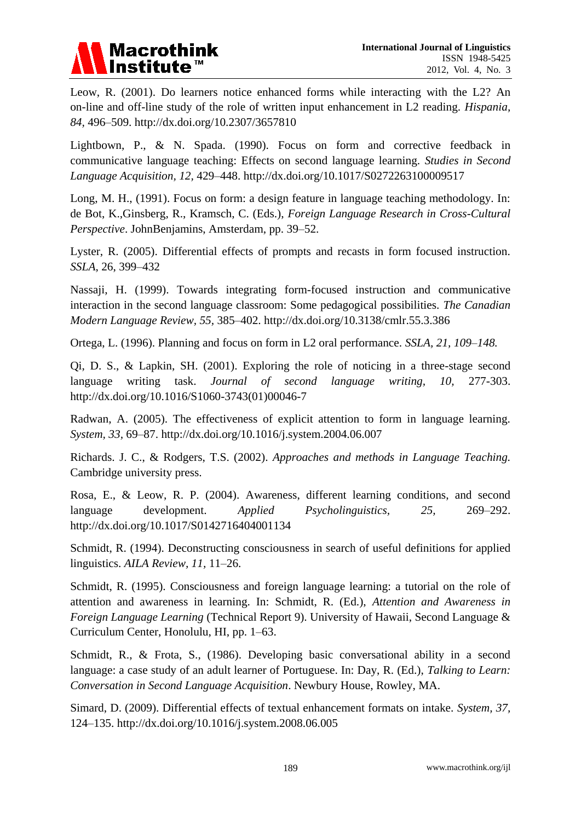# **Macrothink**

Leow, R. (2001). Do learners notice enhanced forms while interacting with the L2? An on-line and off-line study of the role of written input enhancement in L2 reading. *Hispania, 84,* 496–509. http://dx.doi.org/10.2307/3657810

Lightbown, P., & N. Spada. (1990). Focus on form and corrective feedback in communicative language teaching: Effects on second language learning. *Studies in Second Language Acquisition, 12,* 429–448. http://dx.doi.org/10.1017/S0272263100009517

Long, M. H., (1991). Focus on form: a design feature in language teaching methodology. In: de Bot, K.,Ginsberg, R., Kramsch, C. (Eds.), *Foreign Language Research in Cross-Cultural Perspective*. JohnBenjamins, Amsterdam, pp. 39–52.

Lyster, R. (2005). Differential effects of prompts and recasts in form focused instruction. *SSLA*, 26, 399–432

Nassaji, H. (1999). Towards integrating form-focused instruction and communicative interaction in the second language classroom: Some pedagogical possibilities. *The Canadian Modern Language Review, 55,* 385–402. http://dx.doi.org/10.3138/cmlr.55.3.386

Ortega, L. (1996). Planning and focus on form in L2 oral performance. *SSLA, 21, 109–148.*

Qi, D. S., & Lapkin, SH. (2001). Exploring the role of noticing in a three-stage second language writing task. *Journal of second language writing, 10,* 277-303. http://dx.doi.org/10.1016/S1060-3743(01)00046-7

Radwan, A. (2005). The effectiveness of explicit attention to form in language learning. *System, 33,* 69–87. http://dx.doi.org/10.1016/j.system.2004.06.007

Richards. J. C., & Rodgers, T.S. (2002). *Approaches and methods in Language Teaching.* Cambridge university press.

Rosa, E., & Leow, R. P. (2004). Awareness, different learning conditions, and second language development. *Applied Psycholinguistics, 25,* 269–292. http://dx.doi.org/10.1017/S0142716404001134

Schmidt, R. (1994). Deconstructing consciousness in search of useful definitions for applied linguistics. *AILA Review, 11,* 11–26.

Schmidt, R. (1995). Consciousness and foreign language learning: a tutorial on the role of attention and awareness in learning. In: Schmidt, R. (Ed.), *Attention and Awareness in Foreign Language Learning* (Technical Report 9). University of Hawaii, Second Language & Curriculum Center, Honolulu, HI, pp. 1–63.

Schmidt, R., & Frota, S., (1986). Developing basic conversational ability in a second language: a case study of an adult learner of Portuguese. In: Day, R. (Ed.), *Talking to Learn: Conversation in Second Language Acquisition*. Newbury House, Rowley, MA.

Simard, D. (2009). Differential effects of textual enhancement formats on intake. *System, 37,* 124–135. http://dx.doi.org/10.1016/j.system.2008.06.005